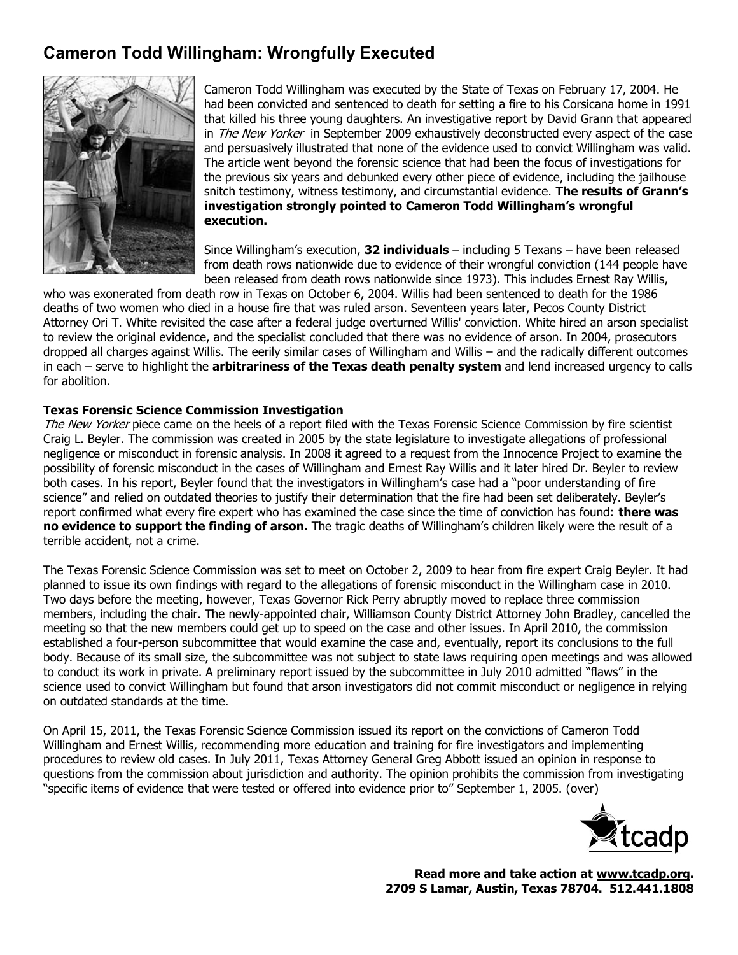## **Cameron Todd Willingham: Wrongfully Executed**



Cameron Todd Willingham was executed by the State of Texas on February 17, 2004. He had been convicted and sentenced to death for setting a fire to his Corsicana home in 1991 that killed his three young daughters. An investigative report by David Grann that appeared in The New Yorker in September 2009 exhaustively deconstructed every aspect of the case and persuasively illustrated that none of the evidence used to convict Willingham was valid. The article went beyond the forensic science that had been the focus of investigations for the previous six years and debunked every other piece of evidence, including the jailhouse snitch testimony, witness testimony, and circumstantial evidence. **The results of Grann's investigation strongly pointed to Cameron Todd Willingham's wrongful execution.**

Since Willingham's execution, **32 individuals** – including 5 Texans – have been released from death rows nationwide due to evidence of their wrongful conviction (144 people have been released from death rows nationwide since 1973). This includes Ernest Ray Willis,

who was exonerated from death row in Texas on October 6, 2004. Willis had been sentenced to death for the 1986 deaths of two women who died in a house fire that was ruled arson. Seventeen years later, Pecos County District Attorney Ori T. White revisited the case after a federal judge overturned Willis' conviction. White hired an arson specialist to review the original evidence, and the specialist concluded that there was no evidence of arson. In 2004, prosecutors dropped all charges against Willis. The eerily similar cases of Willingham and Willis – and the radically different outcomes in each – serve to highlight the **arbitrariness of the Texas death penalty system** and lend increased urgency to calls for abolition.

## **Texas Forensic Science Commission Investigation**

The New Yorker piece came on the heels of a report filed with the Texas Forensic Science Commission by fire scientist Craig L. Beyler. The commission was created in 2005 by the state legislature to investigate allegations of professional negligence or misconduct in forensic analysis. In 2008 it agreed to a request from the Innocence Project to examine the possibility of forensic misconduct in the cases of Willingham and Ernest Ray Willis and it later hired Dr. Beyler to review both cases. In his report, Beyler found that the investigators in Willingham's case had a "poor understanding of fire science" and relied on outdated theories to justify their determination that the fire had been set deliberately. Beyler's report confirmed what every fire expert who has examined the case since the time of conviction has found: **there was no evidence to support the finding of arson.** The tragic deaths of Willingham's children likely were the result of a terrible accident, not a crime.

The Texas Forensic Science Commission was set to meet on October 2, 2009 to hear from fire expert Craig Beyler. It had planned to issue its own findings with regard to the allegations of forensic misconduct in the Willingham case in 2010. Two days before the meeting, however, Texas Governor Rick Perry abruptly moved to replace three commission members, including the chair. The newly-appointed chair, Williamson County District Attorney John Bradley, cancelled the meeting so that the new members could get up to speed on the case and other issues. In April 2010, the commission established a four-person subcommittee that would examine the case and, eventually, report its conclusions to the full body. Because of its small size, the subcommittee was not subject to state laws requiring open meetings and was allowed to conduct its work in private. A preliminary report issued by the subcommittee in July 2010 admitted "flaws" in the science used to convict Willingham but found that arson investigators did not commit misconduct or negligence in relying on outdated standards at the time.

On April 15, 2011, the Texas Forensic Science Commission issued its report on the convictions of Cameron Todd Willingham and Ernest Willis, recommending more education and training for fire investigators and implementing procedures to review old cases. In July 2011, Texas Attorney General Greg Abbott issued an opinion in response to questions from the commission about jurisdiction and authority. The opinion prohibits the commission from investigating "specific items of evidence that were tested or offered into evidence prior to" September 1, 2005. (over)



**Read more and take action at www.tcadp.org. 2709 S Lamar, Austin, Texas 78704. 512.441.1808**